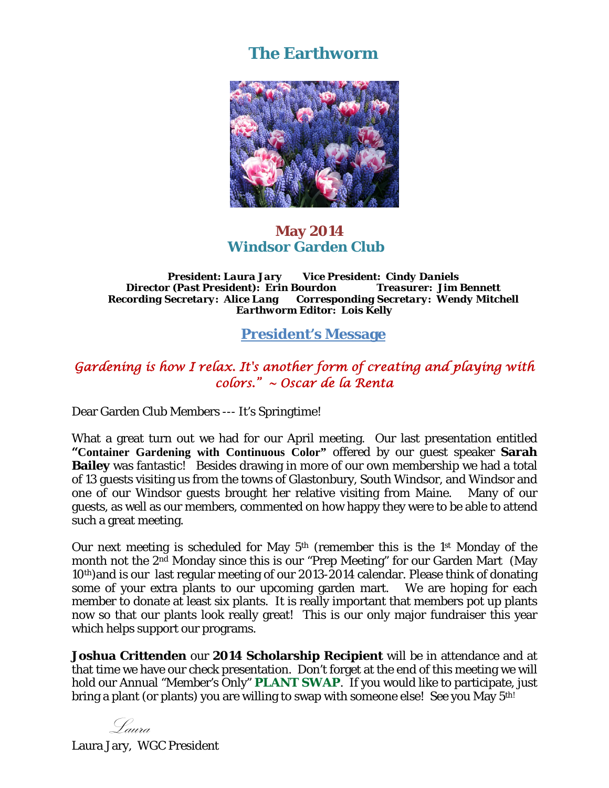# **The Earthworm**



### **May 2014 Windsor Garden Club**

*President: Laura Jary Vice President: Cindy Daniels Director (Past President): Erin Bourdon Treasurer: Jim Bennett Recording Secretary: Alice Lang Corresponding Secretary: Wendy Mitchell Earthworm Editor: Lois Kelly* 

### **President's Message**

## *Gardening is how I relax. It's another form of creating and playing with colors." ~ Oscar de la Renta*

Dear Garden Club Members --- It's Springtime!

What a great turn out we had for our April meeting. Our last presentation entitled **"Container Gardening with Continuous Color"** offered by our guest speaker **Sarah Bailey** was fantastic! Besides drawing in more of our own membership we had a total of 13 guests visiting us from the towns of Glastonbury, South Windsor, and Windsor and one of our Windsor guests brought her relative visiting from Maine. Many of our guests, as well as our members, commented on how happy they were to be able to attend such a great meeting.

Our next meeting is scheduled for May 5th (remember this is the 1st Monday of the month not the 2<sup>nd</sup> Monday since this is our "Prep Meeting" for our Garden Mart (May 10th)and is our last regular meeting of our 2013-2014 calendar. Please think of donating some of your extra plants to our upcoming garden mart. We are hoping for each member to donate at least six plants. It is really important that members pot up plants now so that our plants look really great! This is our only major fundraiser this year which helps support our programs.

**Joshua Crittenden** our **2014 Scholarship Recipient** will be in attendance and at that time we have our check presentation. Don't forget at the end of this meeting we will hold our Annual "Member's Only" **PLANT SWAP**. If you would like to participate, just bring a plant (or plants) you are willing to swap with someone else! See you May 5<sup>th!</sup>

Laura

Laura Jary, WGC President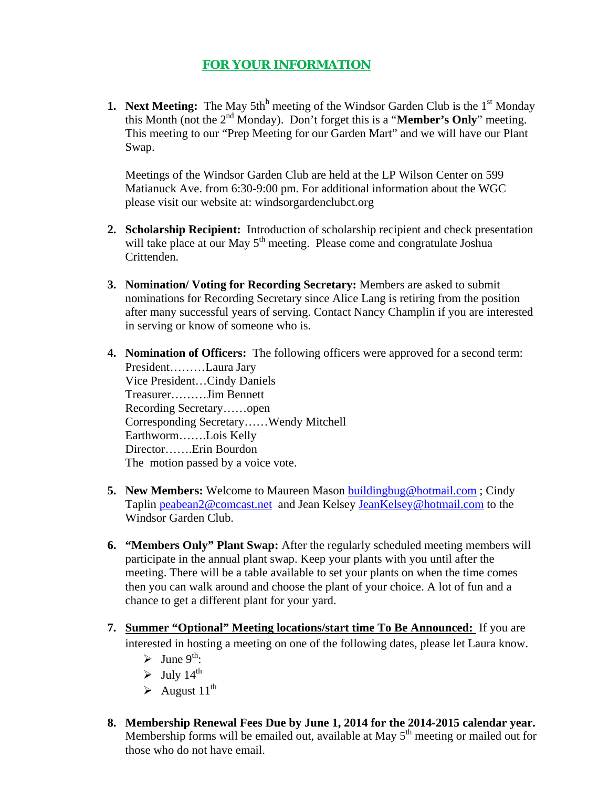#### **FOR YOUR INFORMATION**

**1. Next Meeting:** The May 5th<sup>h</sup> meeting of the Windsor Garden Club is the  $1<sup>st</sup>$  Monday this Month (not the 2nd Monday). Don't forget this is a "**Member's Only**" meeting. This meeting to our "Prep Meeting for our Garden Mart" and we will have our Plant Swap.

Meetings of the Windsor Garden Club are held at the LP Wilson Center on 599 Matianuck Ave. from 6:30-9:00 pm. For additional information about the WGC please visit our website at: windsorgardenclubct.org

- **2. Scholarship Recipient:** Introduction of scholarship recipient and check presentation will take place at our May  $5<sup>th</sup>$  meeting. Please come and congratulate Joshua Crittenden.
- **3. Nomination/ Voting for Recording Secretary:** Members are asked to submit nominations for Recording Secretary since Alice Lang is retiring from the position after many successful years of serving. Contact Nancy Champlin if you are interested in serving or know of someone who is.
- **4. Nomination of Officers:** The following officers were approved for a second term: President………Laura Jary Vice President…Cindy Daniels Treasurer………Jim Bennett Recording Secretary……open Corresponding Secretary……Wendy Mitchell Earthworm…….Lois Kelly Director…….Erin Bourdon The motion passed by a voice vote.
- **5. New Members:** Welcome to Maureen Mason buildingbug@hotmail.com ; Cindy Taplin peabean2@comcast.net and Jean Kelsey JeanKelsey@hotmail.com to the Windsor Garden Club.
- **6. "Members Only" Plant Swap:** After the regularly scheduled meeting members will participate in the annual plant swap. Keep your plants with you until after the meeting. There will be a table available to set your plants on when the time comes then you can walk around and choose the plant of your choice. A lot of fun and a chance to get a different plant for your yard.
- **7. Summer "Optional" Meeting locations/start time To Be Announced:** If you are interested in hosting a meeting on one of the following dates, please let Laura know.
	- $\blacktriangleright$  June 9<sup>th</sup>:
	- $\blacktriangleright$  July 14<sup>th</sup>
	- $\blacktriangleright$  August 11<sup>th</sup>
- **8. Membership Renewal Fees Due by June 1, 2014 for the 2014-2015 calendar year.**  Membership forms will be emailed out, available at May  $5<sup>th</sup>$  meeting or mailed out for those who do not have email.